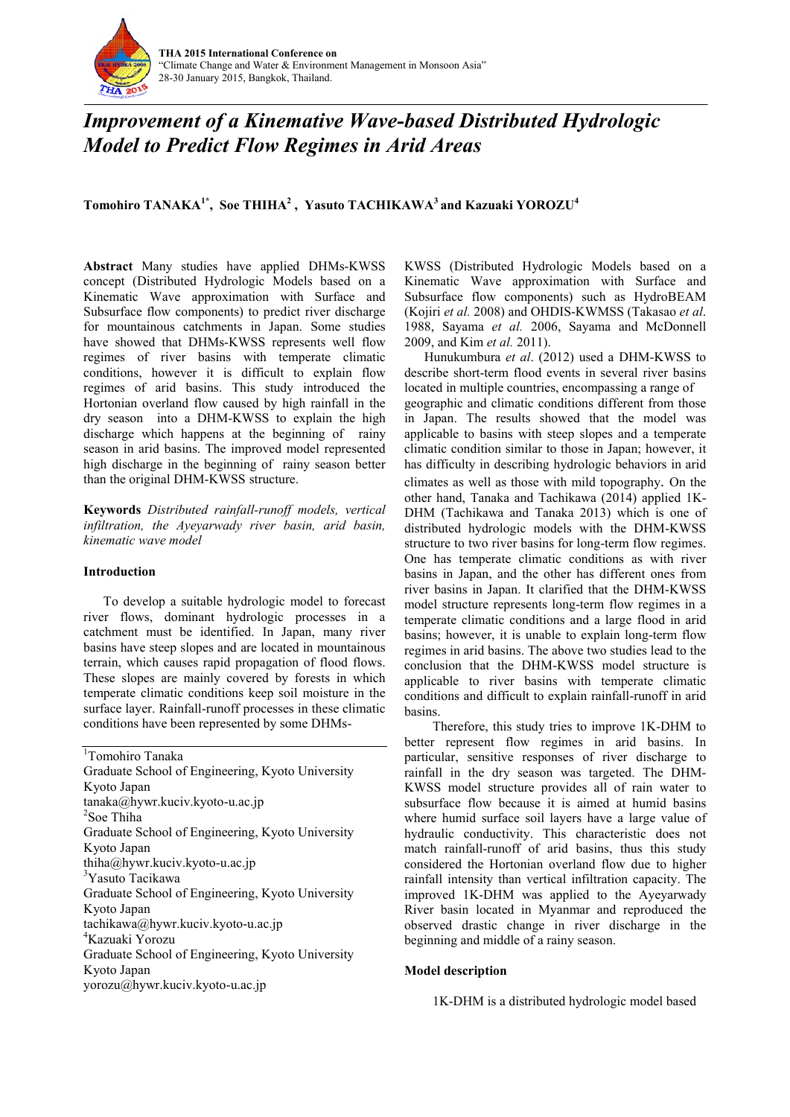

# *Improvement of a Kinemative Wave-based Distributed Hydrologic Model to Predict Flow Regimes in Arid Areas*

**Tomohiro TANAKA1\* , Soe THIHA<sup>2</sup> , Yasuto TACHIKAWA<sup>3</sup> and Kazuaki YOROZU<sup>4</sup>**

**Abstract** Many studies have applied DHMs-KWSS concept (Distributed Hydrologic Models based on a Kinematic Wave approximation with Surface and Subsurface flow components) to predict river discharge for mountainous catchments in Japan. Some studies have showed that DHMs-KWSS represents well flow regimes of river basins with temperate climatic conditions, however it is difficult to explain flow regimes of arid basins. This study introduced the Hortonian overland flow caused by high rainfall in the dry season into a DHM-KWSS to explain the high discharge which happens at the beginning of rainy season in arid basins. The improved model represented high discharge in the beginning of rainy season better than the original DHM-KWSS structure.

**Keywords** *Distributed rainfall-runoff models, vertical infiltration, the Ayeyarwady river basin, arid basin, kinematic wave model*

## **Introduction**

To develop a suitable hydrologic model to forecast river flows, dominant hydrologic processes in a catchment must be identified. In Japan, many river basins have steep slopes and are located in mountainous terrain, which causes rapid propagation of flood flows. These slopes are mainly covered by forests in which temperate climatic conditions keep soil moisture in the surface layer. Rainfall-runoff processes in these climatic conditions have been represented by some DHMs-

<sup>1</sup>Tomohiro Tanaka Graduate School of Engineering, Kyoto University Kyoto Japan tanaka@hywr.kuciv.kyoto-u.ac.jp 2 Soe Thiha Graduate School of Engineering, Kyoto University Kyoto Japan thiha@hywr.kuciv.kyoto-u.ac.jp <sup>3</sup>Yasuto Tacikawa Graduate School of Engineering, Kyoto University Kyoto Japan tachikawa@hywr.kuciv.kyoto-u.ac.jp <sup>4</sup>Kazuaki Yorozu Graduate School of Engineering, Kyoto University Kyoto Japan yorozu@hywr.kuciv.kyoto-u.ac.jp

KWSS (Distributed Hydrologic Models based on a Kinematic Wave approximation with Surface and Subsurface flow components) such as HydroBEAM (Kojiri *et al.* 2008) and OHDIS-KWMSS (Takasao *et al*. 1988, Sayama *et al.* 2006, Sayama and McDonnell 2009, and Kim *et al.* 2011).

Hunukumbura *et al*. (2012) used a DHM-KWSS to describe short-term flood events in several river basins located in multiple countries, encompassing a range of geographic and climatic conditions different from those in Japan. The results showed that the model was applicable to basins with steep slopes and a temperate climatic condition similar to those in Japan; however, it has difficulty in describing hydrologic behaviors in arid climates as well as those with mild topography. On the other hand, Tanaka and Tachikawa (2014) applied 1K-DHM (Tachikawa and Tanaka 2013) which is one of distributed hydrologic models with the DHM-KWSS structure to two river basins for long-term flow regimes. One has temperate climatic conditions as with river basins in Japan, and the other has different ones from river basins in Japan. It clarified that the DHM-KWSS model structure represents long-term flow regimes in a temperate climatic conditions and a large flood in arid basins; however, it is unable to explain long-term flow regimes in arid basins. The above two studies lead to the conclusion that the DHM-KWSS model structure is applicable to river basins with temperate climatic conditions and difficult to explain rainfall-runoff in arid basins.

Therefore, this study tries to improve 1K-DHM to better represent flow regimes in arid basins. In particular, sensitive responses of river discharge to rainfall in the dry season was targeted. The DHM-KWSS model structure provides all of rain water to subsurface flow because it is aimed at humid basins where humid surface soil layers have a large value of hydraulic conductivity. This characteristic does not match rainfall-runoff of arid basins, thus this study considered the Hortonian overland flow due to higher rainfall intensity than vertical infiltration capacity. The improved 1K-DHM was applied to the Ayeyarwady River basin located in Myanmar and reproduced the observed drastic change in river discharge in the beginning and middle of a rainy season.

## **Model description**

1K-DHM is a distributed hydrologic model based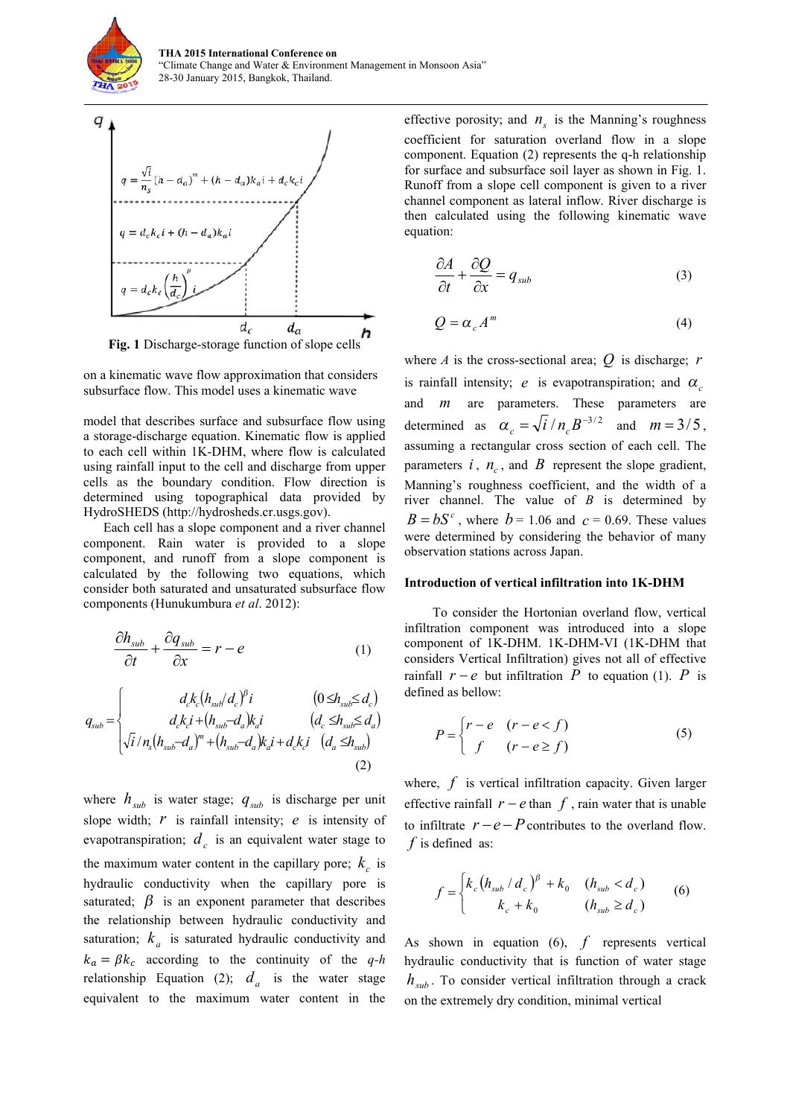



on a kinematic wave flow approximation that considers subsurface flow. This model uses a kinematic wave

model that describes surface and subsurface flow using a storage-discharge equation. Kinematic flow is applied to each cell within 1K-DHM, where flow is calculated using rainfall input to the cell and discharge from upper cells as the boundary condition. Flow direction is determined using topographical data provided by HydroSHEDS (http://hydrosheds.cr.usgs.gov).

Each cell has a slope component and a river channel component. Rain water is provided to a slope component, and runoff from a slope component is calculated by the following two equations, which consider both saturated and unsaturated subsurface flow components (Hunukumbura *et al*. 2012):

$$
\frac{\partial h_{sub}}{\partial t} + \frac{\partial q_{sub}}{\partial x} = r - e \tag{1}
$$

$$
q_{sub} = \begin{cases} d_c k_c (h_{sub} / d_c)^{\beta} i & (0 \le h_{sub} \le d_c) \\ d_c k_c i + (h_{sub} - d_a) k_a i & (d_c \le h_{sub} \le d_a) \\ \sqrt{i} / n_s (h_{sub} - d_a)^m + (h_{sub} - d_a) k_a i + d_c k_c i & (d_a \le h_{sub}) \end{cases}
$$
(2)

where  $h_{sub}$  is water stage;  $q_{sub}$  is discharge per unit slope width; *r* is rainfall intensity; *e* is intensity of evapotranspiration;  $d_c$  is an equivalent water stage to the maximum water content in the capillary pore;  $k_c$  is hydraulic conductivity when the capillary pore is saturated;  $\beta$  is an exponent parameter that describes the relationship between hydraulic conductivity and saturation;  $k_a$  is saturated hydraulic conductivity and  $k_a = \beta k_c$  according to the continuity of the *q-h* relationship Equation (2);  $d_a$  is the water stage equivalent to the maximum water content in the

effective porosity; and  $n<sub>s</sub>$  is the Manning's roughness coefficient for saturation overland flow in a slope component. Equation (2) represents the q-h relationship for surface and subsurface soil layer as shown in Fig. 1. Runoff from a slope cell component is given to a river channel component as lateral inflow. River discharge is then calculated using the following kinematic wave equation:

$$
\frac{\partial A}{\partial t} + \frac{\partial Q}{\partial x} = q_{sub}
$$
 (3)

$$
Q = \alpha_c A^m \tag{4}
$$

where *A* is the cross-sectional area; *Q* is discharge; *r* is rainfall intensity; *e* is evapotranspiration; and  $\alpha$ and *m* are parameters. These parameters are determined as  $\alpha_c = \sqrt{i}/n_c B^{-3/2}$  and  $m = 3/5$ , assuming a rectangular cross section of each cell. The parameters  $i$ ,  $n_c$ , and  $B$  represent the slope gradient, Manning's roughness coefficient, and the width of a river channel. The value of *B* is determined by  $B = bS<sup>c</sup>$ , where  $b = 1.06$  and  $c = 0.69$ . These values were determined by considering the behavior of many observation stations across Japan.

#### **Introduction of vertical infiltration into 1K-DHM**

To consider the Hortonian overland flow, vertical infiltration component was introduced into a slope component of 1K-DHM. 1K-DHM-VI (1K-DHM that considers Vertical Infiltration) gives not all of effective rainfall  $r - e$  but infiltration P to equation (1). P is defined as bellow:

$$
P = \begin{cases} r - e & (r - e < f) \\ f & (r - e \ge f) \end{cases} \tag{5}
$$

where, *f* is vertical infiltration capacity. Given larger effective rainfall  $r - e$  than  $f$ , rain water that is unable to infiltrate  $r - e - P$  contributes to the overland flow. *f* is defined as:

$$
f = \begin{cases} k_c (h_{sub} / d_c)^{\beta} + k_0 & (h_{sub} < d_c) \\ k_c + k_0 & (h_{sub} \ge d_c) \end{cases}
$$
 (6)

As shown in equation (6), *f* represents vertical hydraulic conductivity that is function of water stage  $h_{sub}$ . To consider vertical infiltration through a crack on the extremely dry condition, minimal vertical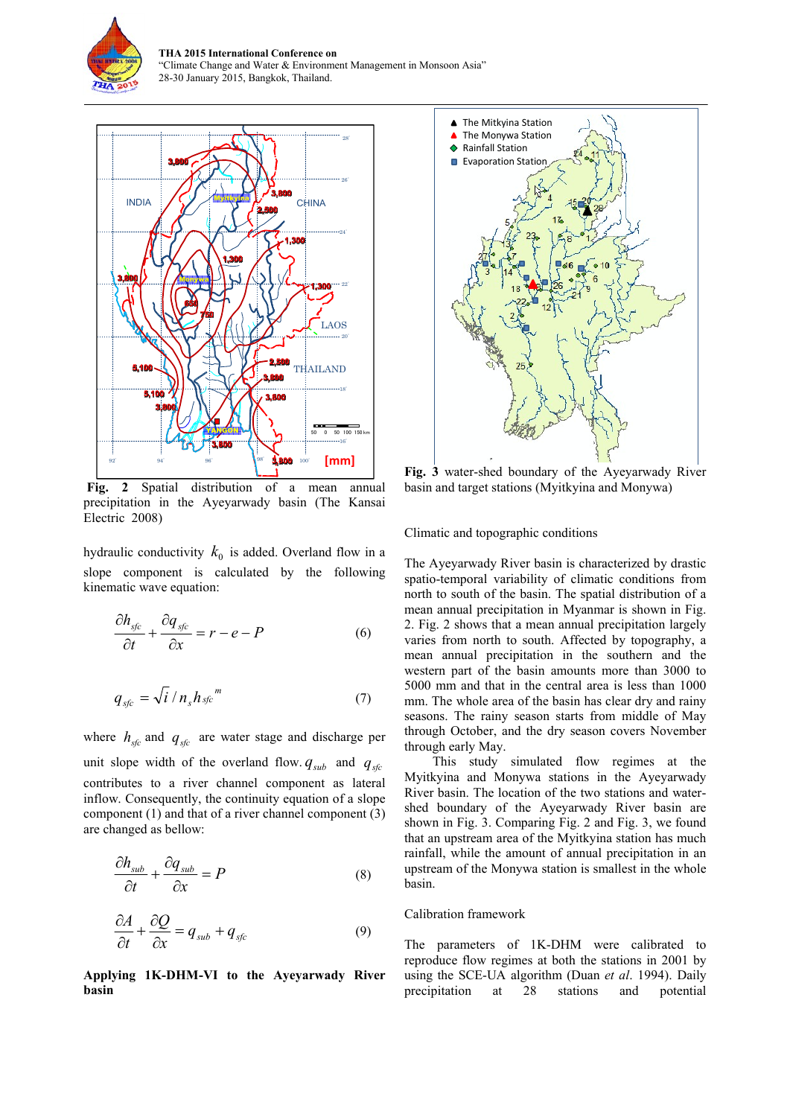

**THA 2015 International Conference on**  "Climate Change and Water & Environment Management in Monsoon Asia" 28-30 January 2015, Bangkok, Thailand.



**Fig. 2** Spatial distribution of a mean annual precipitation in the Ayeyarwady basin (The Kansai Electric 2008)

hydraulic conductivity  $k_0$  is added. Overland flow in a slope component is calculated by the following kinematic wave equation:

$$
\frac{\partial h_{sfc}}{\partial t} + \frac{\partial q_{sfc}}{\partial x} = r - e - P \tag{6}
$$

$$
q_{\rm sfc} = \sqrt{i} / n_{\rm s} h_{\rm sfc}{}^{m} \tag{7}
$$

where  $h_{sfc}$  and  $q_{sfc}$  are water stage and discharge per unit slope width of the overland flow.  $q_{sub}$  and  $q_{stc}$ contributes to a river channel component as lateral inflow. Consequently, the continuity equation of a slope component (1) and that of a river channel component (3) are changed as bellow:

$$
\frac{\partial h_{\text{sub}}}{\partial t} + \frac{\partial q_{\text{sub}}}{\partial x} = P \tag{8}
$$

$$
\frac{\partial A}{\partial t} + \frac{\partial Q}{\partial x} = q_{sub} + q_{sfc} \tag{9}
$$

**Applying 1K-DHM-VI to the Ayeyarwady River basin**



**Fig. 3** water-shed boundary of the Ayeyarwady River basin and target stations (Myitkyina and Monywa)

Climatic and topographic conditions

The Ayeyarwady River basin is characterized by drastic spatio-temporal variability of climatic conditions from north to south of the basin. The spatial distribution of a mean annual precipitation in Myanmar is shown in Fig. 2. Fig. 2 shows that a mean annual precipitation largely varies from north to south. Affected by topography, a mean annual precipitation in the southern and the western part of the basin amounts more than 3000 to 5000 mm and that in the central area is less than 1000 mm. The whole area of the basin has clear dry and rainy seasons. The rainy season starts from middle of May through October, and the dry season covers November through early May.

This study simulated flow regimes at the Myitkyina and Monywa stations in the Ayeyarwady River basin. The location of the two stations and watershed boundary of the Ayeyarwady River basin are shown in Fig. 3. Comparing Fig. 2 and Fig. 3, we found that an upstream area of the Myitkyina station has much rainfall, while the amount of annual precipitation in an upstream of the Monywa station is smallest in the whole basin.

#### Calibration framework

The parameters of 1K-DHM were calibrated to reproduce flow regimes at both the stations in 2001 by using the SCE-UA algorithm (Duan *et al*. 1994). Daily precipitation at 28 stations and potential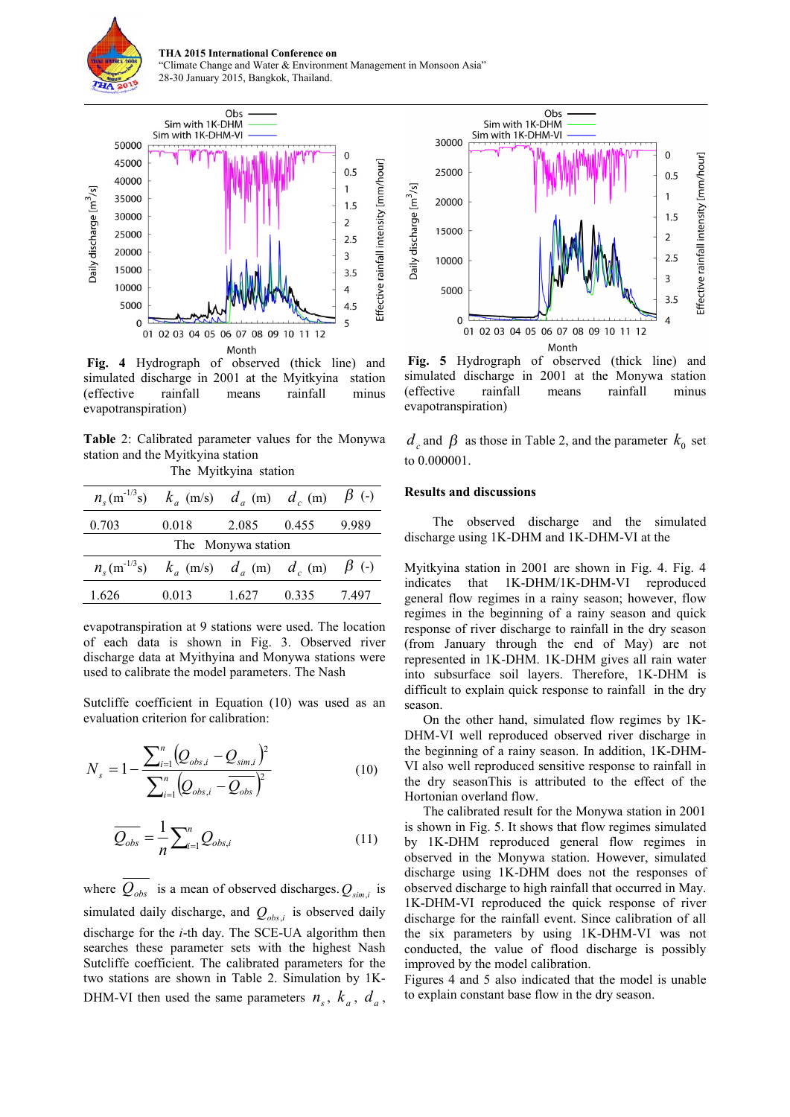

**THA 2015 International Conference on**  "Climate Change and Water & Environment Management in Monsoon Asia" 28-30 January 2015, Bangkok, Thailand.



**Fig. 4** Hydrograph of observed (thick line) and simulated discharge in 2001 at the Myitkyina station (effective rainfall means rainfall minus evapotranspiration)

**Table** 2: Calibrated parameter values for the Monywa station and the Myitkyina station

The Myitkyina station

|                    | $n_s$ (m <sup>-1/3</sup> s) $k_a$ (m/s) $d_a$ (m) $d_c$ (m) $\beta$ (-) |       |       |       |
|--------------------|-------------------------------------------------------------------------|-------|-------|-------|
| 0.703              | 0.018                                                                   | 2.085 | 0.455 | 9.989 |
| The Monywa station |                                                                         |       |       |       |
|                    | $n_s$ (m <sup>-1/3</sup> s) $k_a$ (m/s) $d_a$ (m) $d_c$ (m) $\beta$ (-) |       |       |       |
| 1.626              | 0.013                                                                   | 1.627 | 0.335 | 7.497 |

evapotranspiration at 9 stations were used. The location of each data is shown in Fig. 3. Observed river discharge data at Myithyina and Monywa stations were used to calibrate the model parameters. The Nash

Sutcliffe coefficient in Equation (10) was used as an evaluation criterion for calibration:

$$
N_{s} = 1 - \frac{\sum_{i=1}^{n} (Q_{obs,i} - Q_{sim,i})^{2}}{\sum_{i=1}^{n} (Q_{obs,i} - Q_{obs})^{2}}
$$
(10)

$$
\overline{Q_{obs}} = \frac{1}{n} \sum_{i=1}^{n} Q_{obs,i}
$$
 (11)

where  $Q_{obs}$  is a mean of observed discharges.  $Q_{sim,i}$  is simulated daily discharge, and *Qobs*,*<sup>i</sup>* is observed daily discharge for the *i*-th day. The SCE-UA algorithm then searches these parameter sets with the highest Nash Sutcliffe coefficient. The calibrated parameters for the two stations are shown in Table 2. Simulation by 1K-DHM-VI then used the same parameters  $n_s$ ,  $k_a$ ,  $d_a$ ,



**Fig. 5** Hydrograph of observed (thick line) and simulated discharge in 2001 at the Monywa station (effective rainfall means rainfall minus evapotranspiration)

 $d_c$  and  $\beta$  as those in Table 2, and the parameter  $k_0$  set to 0.000001.

#### **Results and discussions**

The observed discharge and the simulated discharge using 1K-DHM and 1K-DHM-VI at the

Myitkyina station in 2001 are shown in Fig. 4. Fig. 4 indicates that 1K-DHM/1K-DHM-VI reproduced general flow regimes in a rainy season; however, flow regimes in the beginning of a rainy season and quick response of river discharge to rainfall in the dry season (from January through the end of May) are not represented in 1K-DHM. 1K-DHM gives all rain water into subsurface soil layers. Therefore, 1K-DHM is difficult to explain quick response to rainfall in the dry season.

On the other hand, simulated flow regimes by 1K-DHM-VI well reproduced observed river discharge in the beginning of a rainy season. In addition, 1K-DHM-VI also well reproduced sensitive response to rainfall in the dry seasonThis is attributed to the effect of the Hortonian overland flow.

The calibrated result for the Monywa station in 2001 is shown in Fig. 5. It shows that flow regimes simulated by 1K-DHM reproduced general flow regimes in observed in the Monywa station. However, simulated discharge using 1K-DHM does not the responses of observed discharge to high rainfall that occurred in May. 1K-DHM-VI reproduced the quick response of river discharge for the rainfall event. Since calibration of all the six parameters by using 1K-DHM-VI was not conducted, the value of flood discharge is possibly improved by the model calibration.

Figures 4 and 5 also indicated that the model is unable to explain constant base flow in the dry season.